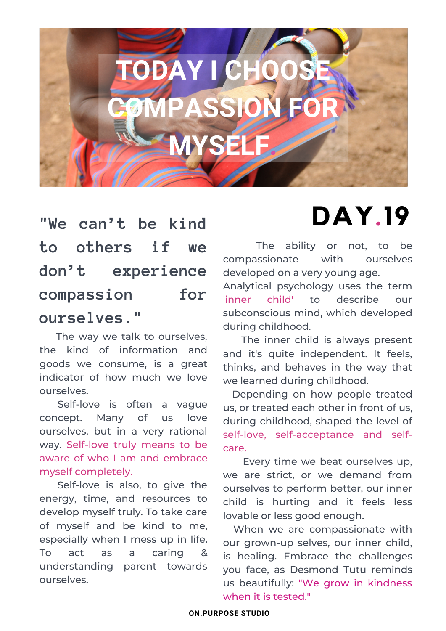

### **"We can't be kind to others if we don't experience compassion for ourselves."**

The way we talk to ourselves, the kind of information and goods we consume, is a great indicator of how much we love ourselves.

Self-love is often a vague concept. Many of us love ourselves, but in a very rational way. Self-love truly means to be aware of who I am and embrace myself completely.

Self-love is also, to give the energy, time, and resources to develop myself truly. To take care of myself and be kind to me, especially when I mess up in life. To act as a caring & understanding parent towards ourselves.

## **DAY.19**

The ability or not, to be compassionate with ourselves developed on a very young age.

Analytical psychology uses the term 'inner child' to describe our subconscious mind, which developed during childhood.

The inner child is always present and it's quite independent. It feels, thinks, and behaves in the way that we learned during childhood.

Depending on how people treated us, or treated each other in front of us, during childhood, shaped the level of self-love, self-acceptance and selfcare.

Every time we beat ourselves up, we are strict, or we demand from ourselves to perform better, our inner child is hurting and it feels less lovable or less good enough.

When we are compassionate with our grown-up selves, our inner child, is healing. Embrace the challenges you face, as Desmond Tutu reminds us beautifully: "We grow in kindness when it is tested."